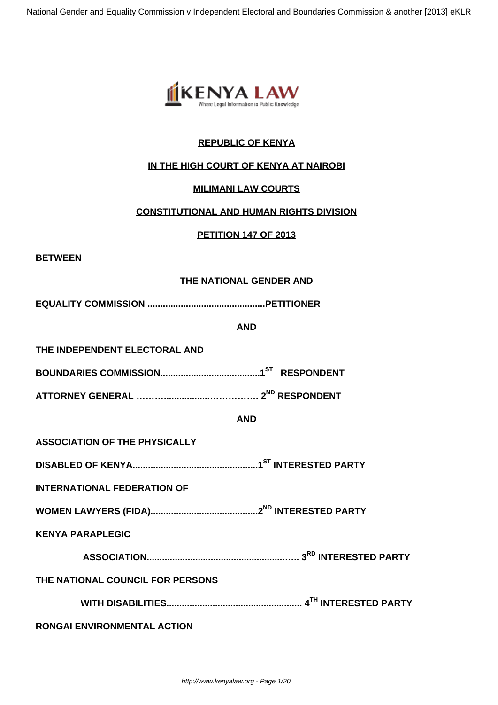

## **REPUBLIC OF KENYA**

### **IN THE HIGH COURT OF KENYA AT NAIROBI**

### **MILIMANI LAW COURTS**

### **CONSTITUTIONAL AND HUMAN RIGHTS DIVISION**

#### **PETITION 147 OF 2013**

**BETWEEN**

### **THE NATIONAL GENDER AND**

**EQUALITY COMMISSION ..............................................PETITIONER**

#### **AND**

**THE INDEPENDENT ELECTORAL AND**

**BOUNDARIES COMMISSION.......................................1ST RESPONDENT**

**ATTORNEY GENERAL ………..................……………. 2ND RESPONDENT**

#### **AND**

**ASSOCIATION OF THE PHYSICALLY** 

**DISABLED OF KENYA.................................................1ST INTERESTED PARTY**

**INTERNATIONAL FEDERATION OF** 

**WOMEN LAWYERS (FIDA)..........................................2ND INTERESTED PARTY**

**KENYA PARAPLEGIC** 

**ASSOCIATION......................................................….. 3RD INTERESTED PARTY**

# **THE NATIONAL COUNCIL FOR PERSONS**

**WITH DISABILITIES..................................................... 4TH INTERESTED PARTY**

**RONGAI ENVIRONMENTAL ACTION**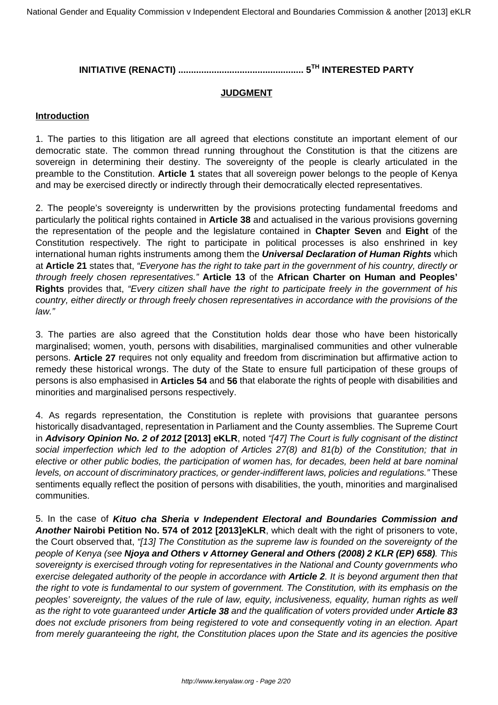# **INITIATIVE (RENACTI) ................................................. 5TH INTERESTED PARTY**

### **JUDGMENT**

#### **Introduction**

1. The parties to this litigation are all agreed that elections constitute an important element of our democratic state. The common thread running throughout the Constitution is that the citizens are sovereign in determining their destiny. The sovereignty of the people is clearly articulated in the preamble to the Constitution. **Article 1** states that all sovereign power belongs to the people of Kenya and may be exercised directly or indirectly through their democratically elected representatives.

2. The people's sovereignty is underwritten by the provisions protecting fundamental freedoms and particularly the political rights contained in **Article 38** and actualised in the various provisions governing the representation of the people and the legislature contained in **Chapter Seven** and **Eight** of the Constitution respectively. The right to participate in political processes is also enshrined in key international human rights instruments among them the **Universal Declaration of Human Rights** which at **Article 21** states that, "Everyone has the right to take part in the government of his country, directly or through freely chosen representatives." **Article 13** of the **African Charter on Human and Peoples' Rights** provides that, "Every citizen shall have the right to participate freely in the government of his country, either directly or through freely chosen representatives in accordance with the provisions of the law."

3. The parties are also agreed that the Constitution holds dear those who have been historically marginalised; women, youth, persons with disabilities, marginalised communities and other vulnerable persons. **Article 27** requires not only equality and freedom from discrimination but affirmative action to remedy these historical wrongs. The duty of the State to ensure full participation of these groups of persons is also emphasised in **Articles 54** and **56** that elaborate the rights of people with disabilities and minorities and marginalised persons respectively.

4. As regards representation, the Constitution is replete with provisions that guarantee persons historically disadvantaged, representation in Parliament and the County assemblies. The Supreme Court in **Advisory Opinion No. 2 of 2012 [2013] eKLR**, noted "[47] The Court is fully cognisant of the distinct social imperfection which led to the adoption of Articles 27(8) and 81(b) of the Constitution; that in elective or other public bodies, the participation of women has, for decades, been held at bare nominal levels, on account of discriminatory practices, or gender-indifferent laws, policies and regulations." These sentiments equally reflect the position of persons with disabilities, the youth, minorities and marginalised communities.

5. In the case of **Kituo cha Sheria v Independent Electoral and Boundaries Commission and Another Nairobi Petition No. 574 of 2012 [2013]eKLR**, which dealt with the right of prisoners to vote, the Court observed that, "[13] The Constitution as the supreme law is founded on the sovereignty of the people of Kenya (see **Njoya and Others v Attorney General and Others (2008) 2 KLR (EP) 658)**. This sovereignty is exercised through voting for representatives in the National and County governments who exercise delegated authority of the people in accordance with **Article 2**. It is beyond argument then that the right to vote is fundamental to our system of government. The Constitution, with its emphasis on the peoples' sovereignty, the values of the rule of law, equity, inclusiveness, equality, human rights as well as the right to vote guaranteed under **Article 38** and the qualification of voters provided under **Article 83** does not exclude prisoners from being registered to vote and consequently voting in an election. Apart from merely guaranteeing the right, the Constitution places upon the State and its agencies the positive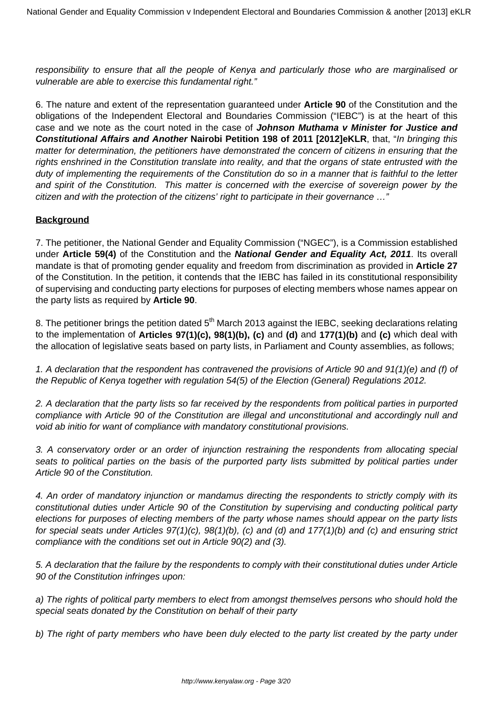responsibility to ensure that all the people of Kenya and particularly those who are marginalised or vulnerable are able to exercise this fundamental right."

6. The nature and extent of the representation guaranteed under **Article 90** of the Constitution and the obligations of the Independent Electoral and Boundaries Commission ("IEBC") is at the heart of this case and we note as the court noted in the case of **Johnson Muthama v Minister for Justice and Constitutional Affairs and Another Nairobi Petition 198 of 2011 [2012]eKLR**, that, "In bringing this matter for determination, the petitioners have demonstrated the concern of citizens in ensuring that the rights enshrined in the Constitution translate into reality, and that the organs of state entrusted with the duty of implementing the requirements of the Constitution do so in a manner that is faithful to the letter and spirit of the Constitution. This matter is concerned with the exercise of sovereign power by the citizen and with the protection of the citizens' right to participate in their governance …"

## **Background**

7. The petitioner, the National Gender and Equality Commission ("NGEC"), is a Commission established under **Article 59(4)** of the Constitution and the **National Gender and Equality Act, 2011**. Its overall mandate is that of promoting gender equality and freedom from discrimination as provided in **Article 27** of the Constitution. In the petition, it contends that the IEBC has failed in its constitutional responsibility of supervising and conducting party elections for purposes of electing members whose names appear on the party lists as required by **Article 90**.

8. The petitioner brings the petition dated  $5<sup>th</sup>$  March 2013 against the IEBC, seeking declarations relating to the implementation of **Articles 97(1)(c), 98(1)(b), (c)** and **(d)** and **177(1)(b)** and **(c)** which deal with the allocation of legislative seats based on party lists, in Parliament and County assemblies, as follows;

1. A declaration that the respondent has contravened the provisions of Article 90 and 91(1)(e) and (f) of the Republic of Kenya together with regulation 54(5) of the Election (General) Regulations 2012.

2. A declaration that the party lists so far received by the respondents from political parties in purported compliance with Article 90 of the Constitution are illegal and unconstitutional and accordingly null and void ab initio for want of compliance with mandatory constitutional provisions.

3. A conservatory order or an order of injunction restraining the respondents from allocating special seats to political parties on the basis of the purported party lists submitted by political parties under Article 90 of the Constitution.

4. An order of mandatory injunction or mandamus directing the respondents to strictly comply with its constitutional duties under Article 90 of the Constitution by supervising and conducting political party elections for purposes of electing members of the party whose names should appear on the party lists for special seats under Articles 97(1)(c), 98(1)(b), (c) and (d) and 177(1)(b) and (c) and ensuring strict compliance with the conditions set out in Article 90(2) and (3).

5. A declaration that the failure by the respondents to comply with their constitutional duties under Article 90 of the Constitution infringes upon:

a) The rights of political party members to elect from amongst themselves persons who should hold the special seats donated by the Constitution on behalf of their party

b) The right of party members who have been duly elected to the party list created by the party under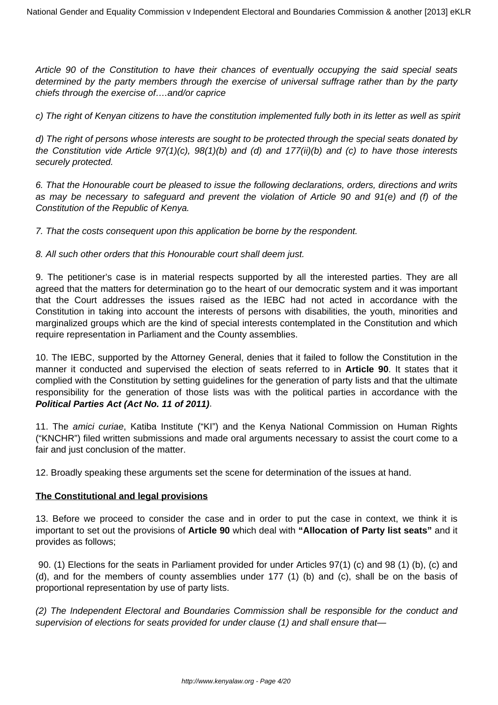Article 90 of the Constitution to have their chances of eventually occupying the said special seats determined by the party members through the exercise of universal suffrage rather than by the party chiefs through the exercise of….and/or caprice

c) The right of Kenyan citizens to have the constitution implemented fully both in its letter as well as spirit

d) The right of persons whose interests are sought to be protected through the special seats donated by the Constitution vide Article 97(1)(c), 98(1)(b) and (d) and 177(ii)(b) and (c) to have those interests securely protected.

6. That the Honourable court be pleased to issue the following declarations, orders, directions and writs as may be necessary to safeguard and prevent the violation of Article 90 and 91(e) and (f) of the Constitution of the Republic of Kenya.

7. That the costs consequent upon this application be borne by the respondent.

8. All such other orders that this Honourable court shall deem just.

9. The petitioner's case is in material respects supported by all the interested parties. They are all agreed that the matters for determination go to the heart of our democratic system and it was important that the Court addresses the issues raised as the IEBC had not acted in accordance with the Constitution in taking into account the interests of persons with disabilities, the youth, minorities and marginalized groups which are the kind of special interests contemplated in the Constitution and which require representation in Parliament and the County assemblies.

10. The IEBC, supported by the Attorney General, denies that it failed to follow the Constitution in the manner it conducted and supervised the election of seats referred to in **Article 90**. It states that it complied with the Constitution by setting guidelines for the generation of party lists and that the ultimate responsibility for the generation of those lists was with the political parties in accordance with the **Political Parties Act (Act No. 11 of 2011)**.

11. The amici curiae, Katiba Institute ("KI") and the Kenya National Commission on Human Rights ("KNCHR") filed written submissions and made oral arguments necessary to assist the court come to a fair and just conclusion of the matter.

12. Broadly speaking these arguments set the scene for determination of the issues at hand.

#### **The Constitutional and legal provisions**

13. Before we proceed to consider the case and in order to put the case in context, we think it is important to set out the provisions of **Article 90** which deal with **"Allocation of Party list seats"** and it provides as follows;

90. (1) Elections for the seats in Parliament provided for under Articles 97(1) (c) and 98 (1) (b), (c) and (d), and for the members of county assemblies under 177 (1) (b) and (c), shall be on the basis of proportional representation by use of party lists.

(2) The Independent Electoral and Boundaries Commission shall be responsible for the conduct and supervision of elections for seats provided for under clause (1) and shall ensure that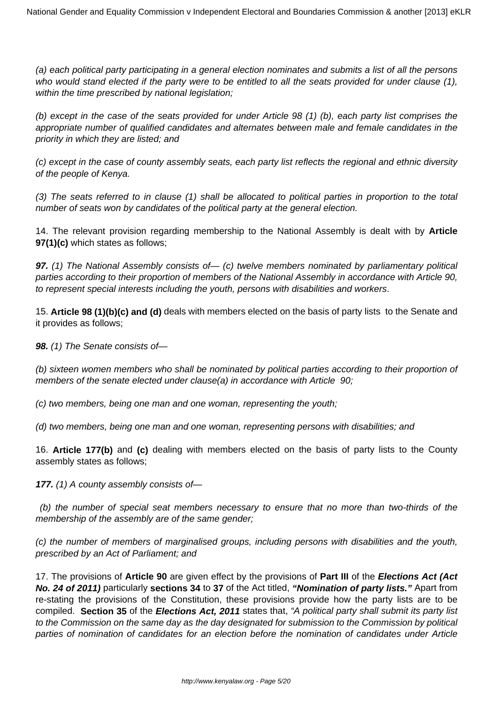(a) each political party participating in a general election nominates and submits a list of all the persons who would stand elected if the party were to be entitled to all the seats provided for under clause (1), within the time prescribed by national legislation;

(b) except in the case of the seats provided for under Article 98 (1) (b), each party list comprises the appropriate number of qualified candidates and alternates between male and female candidates in the priority in which they are listed; and

(c) except in the case of county assembly seats, each party list reflects the regional and ethnic diversity of the people of Kenya.

(3) The seats referred to in clause (1) shall be allocated to political parties in proportion to the total number of seats won by candidates of the political party at the general election.

14. The relevant provision regarding membership to the National Assembly is dealt with by **Article 97(1)(c)** which states as follows;

**97.** (1) The National Assembly consists of  $-$  (c) twelve members nominated by parliamentary political parties according to their proportion of members of the National Assembly in accordance with Article 90, to represent special interests including the youth, persons with disabilities and workers.

15. **Article 98 (1)(b)(c) and (d)** deals with members elected on the basis of party lists to the Senate and it provides as follows;

**98.** (1) The Senate consists of—

(b) sixteen women members who shall be nominated by political parties according to their proportion of members of the senate elected under clause(a) in accordance with Article 90;

(c) two members, being one man and one woman, representing the youth;

(d) two members, being one man and one woman, representing persons with disabilities; and

16. **Article 177(b)** and **(c)** dealing with members elected on the basis of party lists to the County assembly states as follows;

**177.** (1) A county assembly consists of—

(b) the number of special seat members necessary to ensure that no more than two-thirds of the membership of the assembly are of the same gender;

(c) the number of members of marginalised groups, including persons with disabilities and the youth, prescribed by an Act of Parliament; and

17. The provisions of **Article 90** are given effect by the provisions of **Part III** of the **Elections Act (Act No. 24 of 2011)** particularly **sections 34** to **37** of the Act titled, **"Nomination of party lists."** Apart from re-stating the provisions of the Constitution, these provisions provide how the party lists are to be compiled. **Section 35** of the **Elections Act, 2011** states that, "A political party shall submit its party list to the Commission on the same day as the day designated for submission to the Commission by political parties of nomination of candidates for an election before the nomination of candidates under Article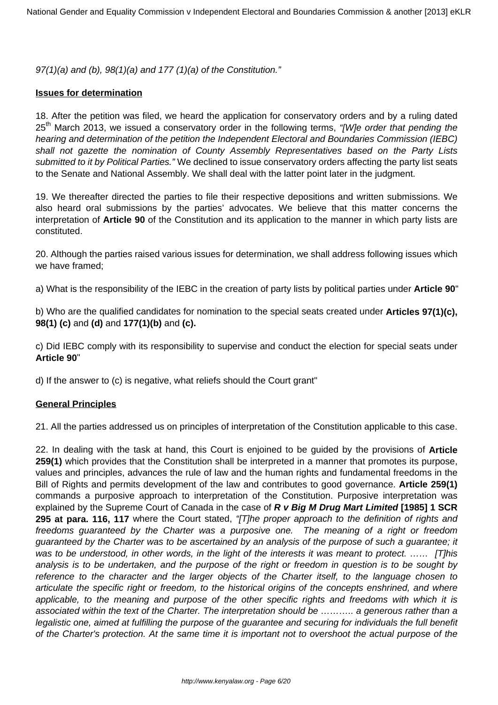97(1)(a) and (b), 98(1)(a) and 177 (1)(a) of the Constitution."

### **Issues for determination**

18. After the petition was filed, we heard the application for conservatory orders and by a ruling dated  $25<sup>th</sup>$  March 2013, we issued a conservatory order in the following terms, "[W]e order that pending the hearing and determination of the petition the Independent Electoral and Boundaries Commission (IEBC) shall not gazette the nomination of County Assembly Representatives based on the Party Lists submitted to it by Political Parties." We declined to issue conservatory orders affecting the party list seats to the Senate and National Assembly. We shall deal with the latter point later in the judgment.

19. We thereafter directed the parties to file their respective depositions and written submissions. We also heard oral submissions by the parties' advocates. We believe that this matter concerns the interpretation of **Article 90** of the Constitution and its application to the manner in which party lists are constituted.

20. Although the parties raised various issues for determination, we shall address following issues which we have framed;

a) What is the responsibility of the IEBC in the creation of party lists by political parties under **Article 90**"

b) Who are the qualified candidates for nomination to the special seats created under **Articles 97(1)(c), 98(1) (c)** and **(d)** and **177(1)(b)** and **(c).**

c) Did IEBC comply with its responsibility to supervise and conduct the election for special seats under **Article 90**"

d) If the answer to (c) is negative, what reliefs should the Court grant"

#### **General Principles**

21. All the parties addressed us on principles of interpretation of the Constitution applicable to this case.

22. In dealing with the task at hand, this Court is enjoined to be guided by the provisions of **Article 259(1)** which provides that the Constitution shall be interpreted in a manner that promotes its purpose, values and principles, advances the rule of law and the human rights and fundamental freedoms in the Bill of Rights and permits development of the law and contributes to good governance. **Article 259(1)** commands a purposive approach to interpretation of the Constitution. Purposive interpretation was explained by the Supreme Court of Canada in the case of **R v Big M Drug Mart Limited [1985] 1 SCR 295 at para. 116, 117** where the Court stated, "*[T]he proper approach to the definition of rights and* freedoms guaranteed by the Charter was a purposive one. The meaning of a right or freedom guaranteed by the Charter was to be ascertained by an analysis of the purpose of such a guarantee; it was to be understood, in other words, in the light of the interests it was meant to protect. ...... [T]his analysis is to be undertaken, and the purpose of the right or freedom in question is to be sought by reference to the character and the larger objects of the Charter itself, to the language chosen to articulate the specific right or freedom, to the historical origins of the concepts enshrined, and where applicable, to the meaning and purpose of the other specific rights and freedoms with which it is associated within the text of the Charter. The interpretation should be ……….. a generous rather than a legalistic one, aimed at fulfilling the purpose of the guarantee and securing for individuals the full benefit of the Charter's protection. At the same time it is important not to overshoot the actual purpose of the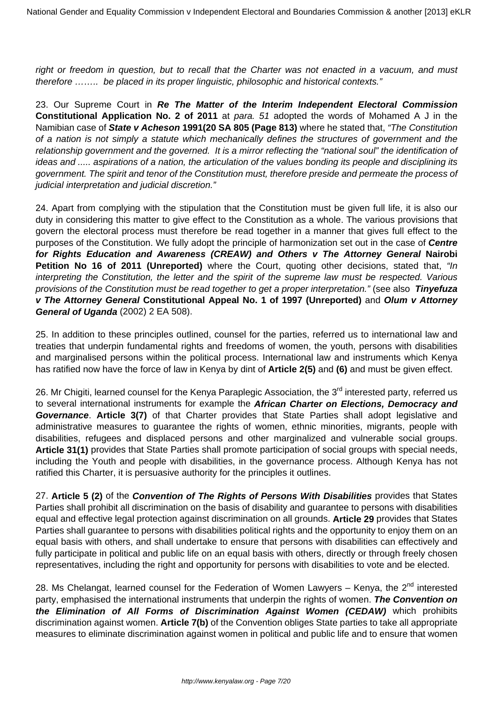right or freedom in question, but to recall that the Charter was not enacted in a vacuum, and must therefore …….. be placed in its proper linguistic, philosophic and historical contexts."

23. Our Supreme Court in **Re The Matter of the Interim Independent Electoral Commission Constitutional Application No. 2 of 2011** at para. 51 adopted the words of Mohamed A J in the Namibian case of **State v Acheson 1991(20 SA 805 (Page 813)** where he stated that, "The Constitution of a nation is not simply a statute which mechanically defines the structures of government and the relationship government and the governed. It is a mirror reflecting the "national soul" the identification of ideas and ..... aspirations of a nation, the articulation of the values bonding its people and disciplining its government. The spirit and tenor of the Constitution must, therefore preside and permeate the process of judicial interpretation and judicial discretion."

24. Apart from complying with the stipulation that the Constitution must be given full life, it is also our duty in considering this matter to give effect to the Constitution as a whole. The various provisions that govern the electoral process must therefore be read together in a manner that gives full effect to the purposes of the Constitution. We fully adopt the principle of harmonization set out in the case of **Centre for Rights Education and Awareness (CREAW) and Others v The Attorney General Nairobi Petition No 16 of 2011 (Unreported)** where the Court, quoting other decisions, stated that, "In interpreting the Constitution, the letter and the spirit of the supreme law must be respected. Various provisions of the Constitution must be read together to get a proper interpretation." (see also **Tinyefuza v The Attorney General Constitutional Appeal No. 1 of 1997 (Unreported)** and **Olum v Attorney General of Uganda** (2002) 2 EA 508).

25. In addition to these principles outlined, counsel for the parties, referred us to international law and treaties that underpin fundamental rights and freedoms of women, the youth, persons with disabilities and marginalised persons within the political process. International law and instruments which Kenya has ratified now have the force of law in Kenya by dint of **Article 2(5)** and **(6)** and must be given effect.

26. Mr Chigiti, learned counsel for the Kenya Paraplegic Association, the 3<sup>rd</sup> interested party, referred us to several international instruments for example the **African Charter on Elections, Democracy and Governance**. **Article 3(7)** of that Charter provides that State Parties shall adopt legislative and administrative measures to guarantee the rights of women, ethnic minorities, migrants, people with disabilities, refugees and displaced persons and other marginalized and vulnerable social groups. **Article 31(1)** provides that State Parties shall promote participation of social groups with special needs, including the Youth and people with disabilities, in the governance process. Although Kenya has not ratified this Charter, it is persuasive authority for the principles it outlines.

27. **Article 5 (2)** of the **Convention of The Rights of Persons With Disabilities** provides that States Parties shall prohibit all discrimination on the basis of disability and guarantee to persons with disabilities equal and effective legal protection against discrimination on all grounds. **Article 29** provides that States Parties shall guarantee to persons with disabilities political rights and the opportunity to enjoy them on an equal basis with others, and shall undertake to ensure that persons with disabilities can effectively and fully participate in political and public life on an equal basis with others, directly or through freely chosen representatives, including the right and opportunity for persons with disabilities to vote and be elected.

28. Ms Chelangat, learned counsel for the Federation of Women Lawyers - Kenya, the  $2^{nd}$  interested party, emphasised the international instruments that underpin the rights of women. **The Convention on the Elimination of All Forms of Discrimination Against Women (CEDAW)** which prohibits discrimination against women. **Article 7(b)** of the Convention obliges State parties to take all appropriate measures to eliminate discrimination against women in political and public life and to ensure that women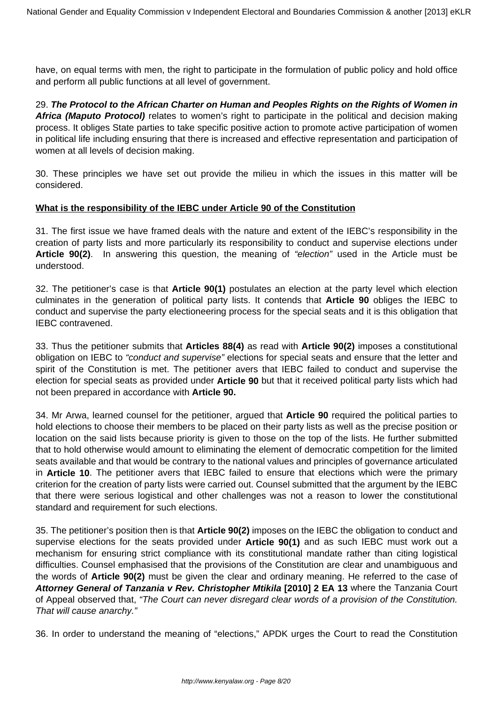have, on equal terms with men, the right to participate in the formulation of public policy and hold office and perform all public functions at all level of government.

29. **The Protocol to the African Charter on Human and Peoples Rights on the Rights of Women in Africa (Maputo Protocol)** relates to women's right to participate in the political and decision making process. It obliges State parties to take specific positive action to promote active participation of women in political life including ensuring that there is increased and effective representation and participation of women at all levels of decision making.

30. These principles we have set out provide the milieu in which the issues in this matter will be considered.

#### **What is the responsibility of the IEBC under Article 90 of the Constitution**

31. The first issue we have framed deals with the nature and extent of the IEBC's responsibility in the creation of party lists and more particularly its responsibility to conduct and supervise elections under **Article 90(2)**. In answering this question, the meaning of "election" used in the Article must be understood.

32. The petitioner's case is that **Article 90(1)** postulates an election at the party level which election culminates in the generation of political party lists. It contends that **Article 90** obliges the IEBC to conduct and supervise the party electioneering process for the special seats and it is this obligation that IEBC contravened.

33. Thus the petitioner submits that **Articles 88(4)** as read with **Article 90(2)** imposes a constitutional obligation on IEBC to "conduct and supervise" elections for special seats and ensure that the letter and spirit of the Constitution is met. The petitioner avers that IEBC failed to conduct and supervise the election for special seats as provided under **Article 90** but that it received political party lists which had not been prepared in accordance with **Article 90.**

34. Mr Arwa, learned counsel for the petitioner, argued that **Article 90** required the political parties to hold elections to choose their members to be placed on their party lists as well as the precise position or location on the said lists because priority is given to those on the top of the lists. He further submitted that to hold otherwise would amount to eliminating the element of democratic competition for the limited seats available and that would be contrary to the national values and principles of governance articulated in **Article 10**. The petitioner avers that IEBC failed to ensure that elections which were the primary criterion for the creation of party lists were carried out. Counsel submitted that the argument by the IEBC that there were serious logistical and other challenges was not a reason to lower the constitutional standard and requirement for such elections.

35. The petitioner's position then is that **Article 90(2)** imposes on the IEBC the obligation to conduct and supervise elections for the seats provided under **Article 90(1)** and as such IEBC must work out a mechanism for ensuring strict compliance with its constitutional mandate rather than citing logistical difficulties. Counsel emphasised that the provisions of the Constitution are clear and unambiguous and the words of **Article 90(2)** must be given the clear and ordinary meaning. He referred to the case of **Attorney General of Tanzania v Rev. Christopher Mtikila [2010] 2 EA 13** where the Tanzania Court of Appeal observed that, "The Court can never disregard clear words of a provision of the Constitution. That will cause anarchy."

36. In order to understand the meaning of "elections," APDK urges the Court to read the Constitution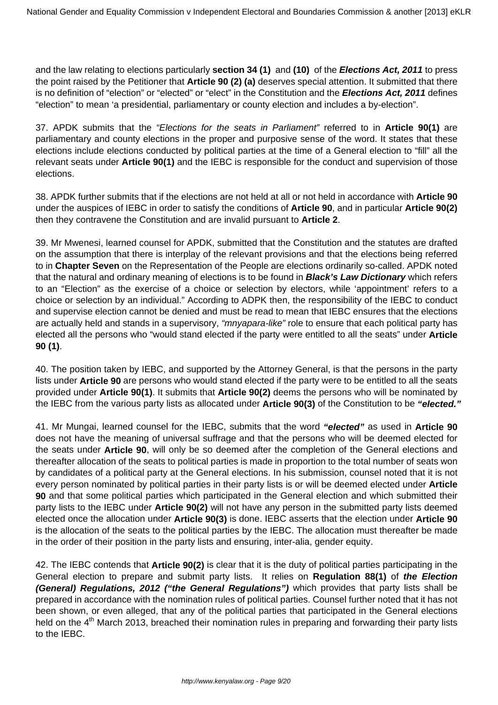and the law relating to elections particularly **section 34 (1)** and **(10)** of the **Elections Act, 2011** to press the point raised by the Petitioner that **Article 90 (2) (a)** deserves special attention. It submitted that there is no definition of "election" or "elected" or "elect" in the Constitution and the **Elections Act, 2011** defines "election" to mean 'a presidential, parliamentary or county election and includes a by-election".

37. APDK submits that the "Elections for the seats in Parliament" referred to in **Article 90(1)** are parliamentary and county elections in the proper and purposive sense of the word. It states that these elections include elections conducted by political parties at the time of a General election to "fill" all the relevant seats under **Article 90(1)** and the IEBC is responsible for the conduct and supervision of those elections.

38. APDK further submits that if the elections are not held at all or not held in accordance with **Article 90** under the auspices of IEBC in order to satisfy the conditions of **Article 90**, and in particular **Article 90(2)** then they contravene the Constitution and are invalid pursuant to **Article 2**.

39. Mr Mwenesi, learned counsel for APDK, submitted that the Constitution and the statutes are drafted on the assumption that there is interplay of the relevant provisions and that the elections being referred to in **Chapter Seven** on the Representation of the People are elections ordinarily so-called. APDK noted that the natural and ordinary meaning of elections is to be found in **Black's Law Dictionary** which refers to an "Election" as the exercise of a choice or selection by electors, while 'appointment' refers to a choice or selection by an individual." According to ADPK then, the responsibility of the IEBC to conduct and supervise election cannot be denied and must be read to mean that IEBC ensures that the elections are actually held and stands in a supervisory, "mnyapara-like" role to ensure that each political party has elected all the persons who "would stand elected if the party were entitled to all the seats" under **Article 90 (1)**.

40. The position taken by IEBC, and supported by the Attorney General, is that the persons in the party lists under **Article 90** are persons who would stand elected if the party were to be entitled to all the seats provided under **Article 90(1)**. It submits that **Article 90(2)** deems the persons who will be nominated by the IEBC from the various party lists as allocated under **Article 90(3)** of the Constitution to be **"elected."**

41. Mr Mungai, learned counsel for the IEBC, submits that the word **"elected"** as used in **Article 90** does not have the meaning of universal suffrage and that the persons who will be deemed elected for the seats under **Article 90**, will only be so deemed after the completion of the General elections and thereafter allocation of the seats to political parties is made in proportion to the total number of seats won by candidates of a political party at the General elections. In his submission, counsel noted that it is not every person nominated by political parties in their party lists is or will be deemed elected under **Article 90** and that some political parties which participated in the General election and which submitted their party lists to the IEBC under **Article 90(2)** will not have any person in the submitted party lists deemed elected once the allocation under **Article 90(3)** is done. IEBC asserts that the election under **Article 90** is the allocation of the seats to the political parties by the IEBC. The allocation must thereafter be made in the order of their position in the party lists and ensuring, inter-alia, gender equity.

42. The IEBC contends that **Article 90(2)** is clear that it is the duty of political parties participating in the General election to prepare and submit party lists. It relies on **Regulation 88(1)** of **the Election (General) Regulations, 2012 ("the General Regulations")** which provides that party lists shall be prepared in accordance with the nomination rules of political parties. Counsel further noted that it has not been shown, or even alleged, that any of the political parties that participated in the General elections held on the 4<sup>th</sup> March 2013, breached their nomination rules in preparing and forwarding their party lists to the IEBC.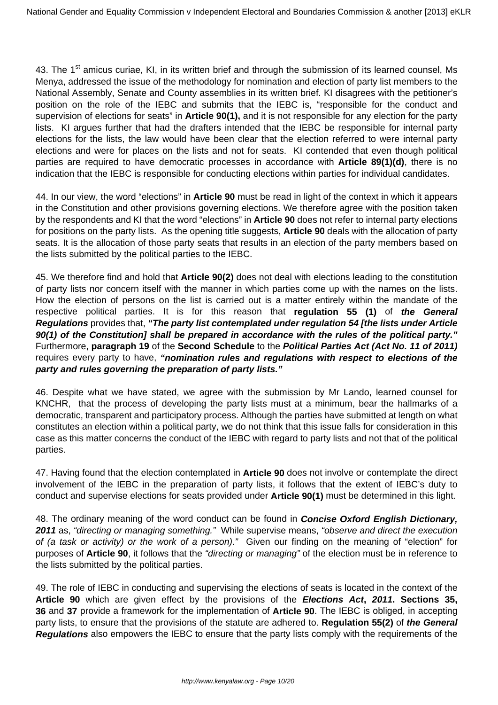43. The 1<sup>st</sup> amicus curiae, KI, in its written brief and through the submission of its learned counsel. Ms Menya, addressed the issue of the methodology for nomination and election of party list members to the National Assembly, Senate and County assemblies in its written brief. KI disagrees with the petitioner's position on the role of the IEBC and submits that the IEBC is, "responsible for the conduct and supervision of elections for seats" in **Article 90(1),** and it is not responsible for any election for the party lists. KI argues further that had the drafters intended that the IEBC be responsible for internal party elections for the lists, the law would have been clear that the election referred to were internal party elections and were for places on the lists and not for seats. KI contended that even though political parties are required to have democratic processes in accordance with **Article 89(1)(d)**, there is no indication that the IEBC is responsible for conducting elections within parties for individual candidates.

44. In our view, the word "elections" in **Article 90** must be read in light of the context in which it appears in the Constitution and other provisions governing elections. We therefore agree with the position taken by the respondents and KI that the word "elections" in **Article 90** does not refer to internal party elections for positions on the party lists. As the opening title suggests, **Article 90** deals with the allocation of party seats. It is the allocation of those party seats that results in an election of the party members based on the lists submitted by the political parties to the IEBC.

45. We therefore find and hold that **Article 90(2)** does not deal with elections leading to the constitution of party lists nor concern itself with the manner in which parties come up with the names on the lists. How the election of persons on the list is carried out is a matter entirely within the mandate of the respective political parties. It is for this reason that **regulation 55 (1)** of **the General Regulations** provides that, **"The party list contemplated under regulation 54 [the lists under Article 90(1) of the Constitution] shall be prepared in accordance with the rules of the political party."** Furthermore, **paragraph 19** of the **Second Schedule** to the **Political Parties Act (Act No. 11 of 2011)** requires every party to have, **"nomination rules and regulations with respect to elections of the party and rules governing the preparation of party lists."** 

46. Despite what we have stated, we agree with the submission by Mr Lando, learned counsel for KNCHR, that the process of developing the party lists must at a minimum, bear the hallmarks of a democratic, transparent and participatory process. Although the parties have submitted at length on what constitutes an election within a political party, we do not think that this issue falls for consideration in this case as this matter concerns the conduct of the IEBC with regard to party lists and not that of the political parties.

47. Having found that the election contemplated in **Article 90** does not involve or contemplate the direct involvement of the IEBC in the preparation of party lists, it follows that the extent of IEBC's duty to conduct and supervise elections for seats provided under **Article 90(1)** must be determined in this light.

48. The ordinary meaning of the word conduct can be found in **Concise Oxford English Dictionary, 2011** as, "directing or managing something." While supervise means, "observe and direct the execution of (a task or activity) or the work of a person)." Given our finding on the meaning of "election" for purposes of **Article 90**, it follows that the "directing or managing" of the election must be in reference to the lists submitted by the political parties.

49. The role of IEBC in conducting and supervising the elections of seats is located in the context of the **Article 90** which are given effect by the provisions of the **Elections Act, 2011. Sections 35, 36** and **37** provide a framework for the implementation of **Article 90**. The IEBC is obliged, in accepting party lists, to ensure that the provisions of the statute are adhered to. **Regulation 55(2)** of **the General Regulations** also empowers the IEBC to ensure that the party lists comply with the requirements of the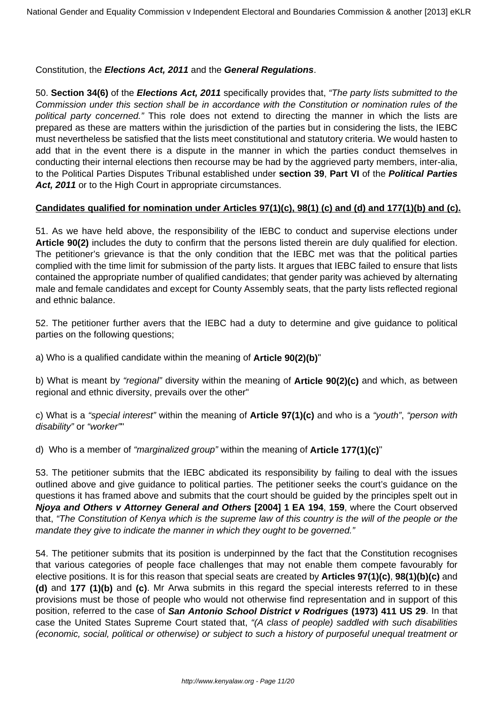Constitution, the **Elections Act, 2011** and the **General Regulations**.

50. **Section 34(6)** of the **Elections Act, 2011** specifically provides that, "The party lists submitted to the Commission under this section shall be in accordance with the Constitution or nomination rules of the political party concerned." This role does not extend to directing the manner in which the lists are prepared as these are matters within the jurisdiction of the parties but in considering the lists, the IEBC must nevertheless be satisfied that the lists meet constitutional and statutory criteria. We would hasten to add that in the event there is a dispute in the manner in which the parties conduct themselves in conducting their internal elections then recourse may be had by the aggrieved party members, inter-alia, to the Political Parties Disputes Tribunal established under **section 39**, **Part VI** of the **Political Parties** Act, 2011 or to the High Court in appropriate circumstances.

#### **Candidates qualified for nomination under Articles 97(1)(c), 98(1) (c) and (d) and 177(1)(b) and (c).**

51. As we have held above, the responsibility of the IEBC to conduct and supervise elections under **Article 90(2)** includes the duty to confirm that the persons listed therein are duly qualified for election. The petitioner's grievance is that the only condition that the IEBC met was that the political parties complied with the time limit for submission of the party lists. It argues that IEBC failed to ensure that lists contained the appropriate number of qualified candidates; that gender parity was achieved by alternating male and female candidates and except for County Assembly seats, that the party lists reflected regional and ethnic balance.

52. The petitioner further avers that the IEBC had a duty to determine and give guidance to political parties on the following questions;

a) Who is a qualified candidate within the meaning of **Article 90(2)(b)**"

b) What is meant by "regional" diversity within the meaning of **Article 90(2)(c)** and which, as between regional and ethnic diversity, prevails over the other"

c) What is a "special interest" within the meaning of **Article 97(1)(c)** and who is a "youth", "person with disability" or "worker""

d) Who is a member of "marginalized group" within the meaning of **Article 177(1)(c)**"

53. The petitioner submits that the IEBC abdicated its responsibility by failing to deal with the issues outlined above and give guidance to political parties. The petitioner seeks the court's guidance on the questions it has framed above and submits that the court should be guided by the principles spelt out in **Njoya and Others v Attorney General and Others [2004] 1 EA 194**, **159**, where the Court observed that, "The Constitution of Kenya which is the supreme law of this country is the will of the people or the mandate they give to indicate the manner in which they ought to be governed."

54. The petitioner submits that its position is underpinned by the fact that the Constitution recognises that various categories of people face challenges that may not enable them compete favourably for elective positions. It is for this reason that special seats are created by **Articles 97(1)(c)**, **98(1)(b)(c)** and **(d)** and **177 (1)(b)** and **(c)**. Mr Arwa submits in this regard the special interests referred to in these provisions must be those of people who would not otherwise find representation and in support of this position, referred to the case of **San Antonio School District v Rodrigues (1973) 411 US 29**. In that case the United States Supreme Court stated that, "(A class of people) saddled with such disabilities (economic, social, political or otherwise) or subject to such a history of purposeful unequal treatment or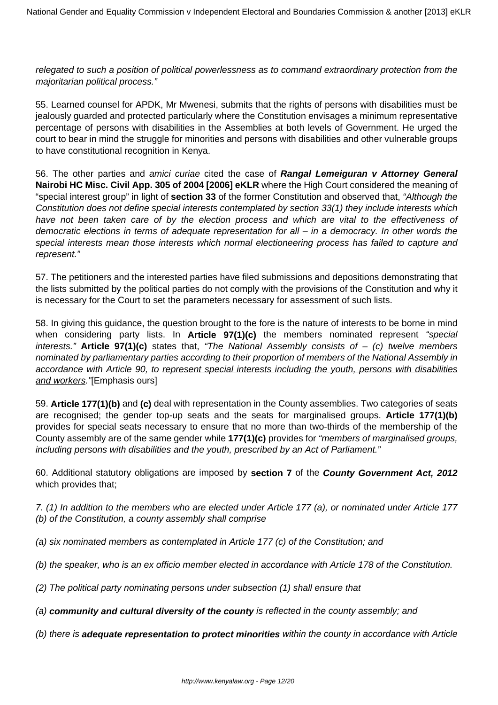relegated to such a position of political powerlessness as to command extraordinary protection from the majoritarian political process."

55. Learned counsel for APDK, Mr Mwenesi, submits that the rights of persons with disabilities must be jealously guarded and protected particularly where the Constitution envisages a minimum representative percentage of persons with disabilities in the Assemblies at both levels of Government. He urged the court to bear in mind the struggle for minorities and persons with disabilities and other vulnerable groups to have constitutional recognition in Kenya.

56. The other parties and amici curiae cited the case of **Rangal Lemeiguran v Attorney General Nairobi HC Misc. Civil App. 305 of 2004 [2006] eKLR** where the High Court considered the meaning of "special interest group" in light of **section 33** of the former Constitution and observed that, "Although the Constitution does not define special interests contemplated by section 33(1) they include interests which have not been taken care of by the election process and which are vital to the effectiveness of democratic elections in terms of adequate representation for all – in a democracy. In other words the special interests mean those interests which normal electioneering process has failed to capture and represent."

57. The petitioners and the interested parties have filed submissions and depositions demonstrating that the lists submitted by the political parties do not comply with the provisions of the Constitution and why it is necessary for the Court to set the parameters necessary for assessment of such lists.

58. In giving this guidance, the question brought to the fore is the nature of interests to be borne in mind when considering party lists. In **Article 97(1)(c)** the members nominated represent "special interests." **Article 97(1)(c)** states that, "The National Assembly consists of – (c) twelve members nominated by parliamentary parties according to their proportion of members of the National Assembly in accordance with Article 90, to represent special interests including the youth, persons with disabilities and workers."[Emphasis ours]

59. **Article 177(1)(b)** and **(c)** deal with representation in the County assemblies. Two categories of seats are recognised; the gender top-up seats and the seats for marginalised groups. **Article 177(1)(b)** provides for special seats necessary to ensure that no more than two-thirds of the membership of the County assembly are of the same gender while **177(1)(c)** provides for "members of marginalised groups, including persons with disabilities and the youth, prescribed by an Act of Parliament."

60. Additional statutory obligations are imposed by **section 7** of the **County Government Act, 2012** which provides that;

7. (1) In addition to the members who are elected under Article 177 (a), or nominated under Article 177 (b) of the Constitution, a county assembly shall comprise

- (a) six nominated members as contemplated in Article 177 (c) of the Constitution; and
- (b) the speaker, who is an ex officio member elected in accordance with Article 178 of the Constitution.
- (2) The political party nominating persons under subsection (1) shall ensure that
- (a) **community and cultural diversity of the county** is reflected in the county assembly; and
- (b) there is **adequate representation to protect minorities** within the county in accordance with Article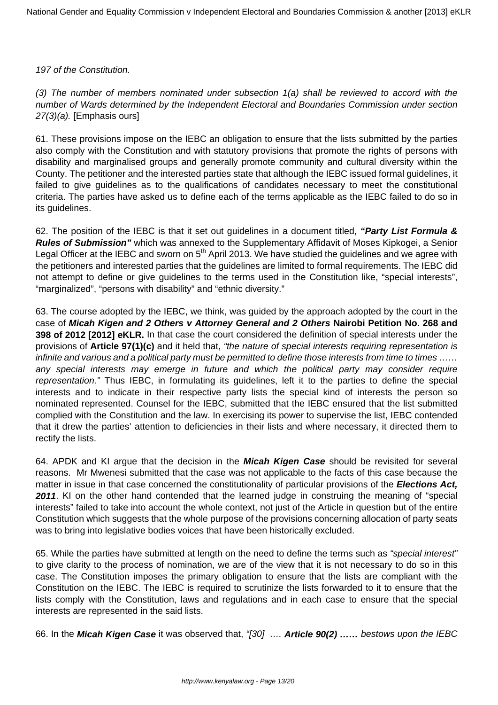#### 197 of the Constitution.

(3) The number of members nominated under subsection 1(a) shall be reviewed to accord with the number of Wards determined by the Independent Electoral and Boundaries Commission under section 27(3)(a). [Emphasis ours]

61. These provisions impose on the IEBC an obligation to ensure that the lists submitted by the parties also comply with the Constitution and with statutory provisions that promote the rights of persons with disability and marginalised groups and generally promote community and cultural diversity within the County. The petitioner and the interested parties state that although the IEBC issued formal guidelines, it failed to give guidelines as to the qualifications of candidates necessary to meet the constitutional criteria. The parties have asked us to define each of the terms applicable as the IEBC failed to do so in its guidelines.

62. The position of the IEBC is that it set out guidelines in a document titled, **"Party List Formula & Rules of Submission"** which was annexed to the Supplementary Affidavit of Moses Kipkogei, a Senior Legal Officer at the IEBC and sworn on  $5<sup>th</sup>$  April 2013. We have studied the guidelines and we agree with the petitioners and interested parties that the guidelines are limited to formal requirements. The IEBC did not attempt to define or give guidelines to the terms used in the Constitution like, "special interests", "marginalized", "persons with disability" and "ethnic diversity."

63. The course adopted by the IEBC, we think, was guided by the approach adopted by the court in the case of **Micah Kigen and 2 Others v Attorney General and 2 Others Nairobi Petition No. 268 and 398 of 2012 [2012] eKLR.** In that case the court considered the definition of special interests under the provisions of **Article 97(1)(c)** and it held that, "the nature of special interests requiring representation is infinite and various and a political party must be permitted to define those interests from time to times …… any special interests may emerge in future and which the political party may consider require representation." Thus IEBC, in formulating its guidelines, left it to the parties to define the special interests and to indicate in their respective party lists the special kind of interests the person so nominated represented. Counsel for the IEBC, submitted that the IEBC ensured that the list submitted complied with the Constitution and the law. In exercising its power to supervise the list, IEBC contended that it drew the parties' attention to deficiencies in their lists and where necessary, it directed them to rectify the lists.

64. APDK and KI argue that the decision in the **Micah Kigen Case** should be revisited for several reasons. Mr Mwenesi submitted that the case was not applicable to the facts of this case because the matter in issue in that case concerned the constitutionality of particular provisions of the **Elections Act, 2011**. KI on the other hand contended that the learned judge in construing the meaning of "special interests" failed to take into account the whole context, not just of the Article in question but of the entire Constitution which suggests that the whole purpose of the provisions concerning allocation of party seats was to bring into legislative bodies voices that have been historically excluded.

65. While the parties have submitted at length on the need to define the terms such as "special interest" to give clarity to the process of nomination, we are of the view that it is not necessary to do so in this case. The Constitution imposes the primary obligation to ensure that the lists are compliant with the Constitution on the IEBC. The IEBC is required to scrutinize the lists forwarded to it to ensure that the lists comply with the Constitution, laws and regulations and in each case to ensure that the special interests are represented in the said lists.

66. In the **Micah Kigen Case** it was observed that, "[30] …. **Article 90(2) ……** bestows upon the IEBC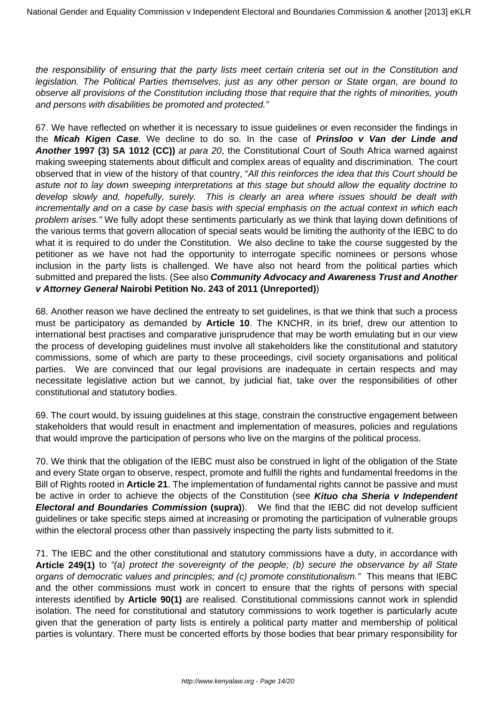the responsibility of ensuring that the party lists meet certain criteria set out in the Constitution and legislation. The Political Parties themselves, just as any other person or State organ, are bound to observe all provisions of the Constitution including those that require that the rights of minorities, youth and persons with disabilities be promoted and protected."

67. We have reflected on whether it is necessary to issue guidelines or even reconsider the findings in the **Micah Kigen Case**. We decline to do so. In the case of **Prinsloo v Van der Linde and Another 1997 (3) SA 1012 (CC))** at para 20, the Constitutional Court of South Africa warned against making sweeping statements about difficult and complex areas of equality and discrimination. The court observed that in view of the history of that country, "All this reinforces the idea that this Court should be astute not to lay down sweeping interpretations at this stage but should allow the equality doctrine to develop slowly and, hopefully, surely. This is clearly an area where issues should be dealt with incrementally and on a case by case basis with special emphasis on the actual context in which each problem arises." We fully adopt these sentiments particularly as we think that laying down definitions of the various terms that govern allocation of special seats would be limiting the authority of the IEBC to do what it is required to do under the Constitution. We also decline to take the course suggested by the petitioner as we have not had the opportunity to interrogate specific nominees or persons whose inclusion in the party lists is challenged. We have also not heard from the political parties which submitted and prepared the lists. (See also **Community Advocacy and Awareness Trust and Another v Attorney General Nairobi Petition No. 243 of 2011 (Unreported)**)

68. Another reason we have declined the entreaty to set guidelines, is that we think that such a process must be participatory as demanded by **Article 10**. The KNCHR, in its brief, drew our attention to international best practises and comparative jurisprudence that may be worth emulating but in our view the process of developing guidelines must involve all stakeholders like the constitutional and statutory commissions, some of which are party to these proceedings, civil society organisations and political parties. We are convinced that our legal provisions are inadequate in certain respects and may necessitate legislative action but we cannot, by judicial fiat, take over the responsibilities of other constitutional and statutory bodies.

69. The court would, by issuing guidelines at this stage, constrain the constructive engagement between stakeholders that would result in enactment and implementation of measures, policies and regulations that would improve the participation of persons who live on the margins of the political process.

70. We think that the obligation of the IEBC must also be construed in light of the obligation of the State and every State organ to observe, respect, promote and fulfill the rights and fundamental freedoms in the Bill of Rights rooted in **Article 21**. The implementation of fundamental rights cannot be passive and must be active in order to achieve the objects of the Constitution (see **Kituo cha Sheria v Independent Electoral and Boundaries Commission (supra)**). We find that the IEBC did not develop sufficient guidelines or take specific steps aimed at increasing or promoting the participation of vulnerable groups within the electoral process other than passively inspecting the party lists submitted to it.

71. The IEBC and the other constitutional and statutory commissions have a duty, in accordance with **Article 249(1)** to "(a) protect the sovereignty of the people; (b) secure the observance by all State organs of democratic values and principles; and (c) promote constitutionalism." This means that IEBC and the other commissions must work in concert to ensure that the rights of persons with special interests identified by **Article 90(1)** are realised. Constitutional commissions cannot work in splendid isolation. The need for constitutional and statutory commissions to work together is particularly acute given that the generation of party lists is entirely a political party matter and membership of political parties is voluntary. There must be concerted efforts by those bodies that bear primary responsibility for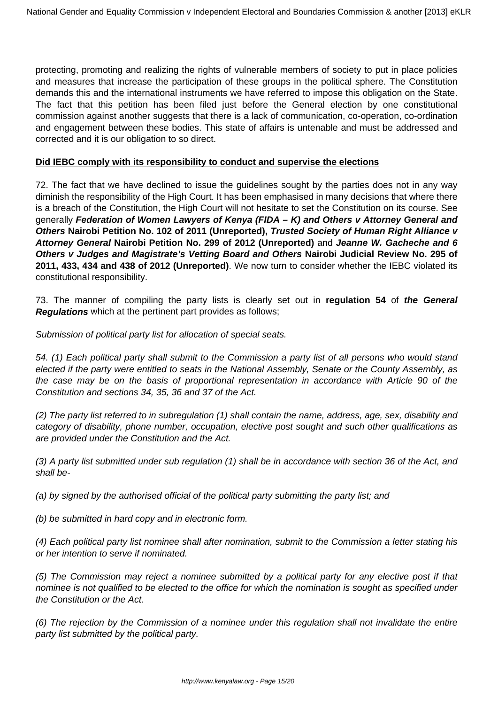protecting, promoting and realizing the rights of vulnerable members of society to put in place policies and measures that increase the participation of these groups in the political sphere. The Constitution demands this and the international instruments we have referred to impose this obligation on the State. The fact that this petition has been filed just before the General election by one constitutional commission against another suggests that there is a lack of communication, co-operation, co-ordination and engagement between these bodies. This state of affairs is untenable and must be addressed and corrected and it is our obligation to so direct.

#### **Did IEBC comply with its responsibility to conduct and supervise the elections**

72. The fact that we have declined to issue the guidelines sought by the parties does not in any way diminish the responsibility of the High Court. It has been emphasised in many decisions that where there is a breach of the Constitution, the High Court will not hesitate to set the Constitution on its course. See generally **Federation of Women Lawyers of Kenya (FIDA – K) and Others v Attorney General and Others Nairobi Petition No. 102 of 2011 (Unreported), Trusted Society of Human Right Alliance v Attorney General Nairobi Petition No. 299 of 2012 (Unreported)** and **Jeanne W. Gacheche and 6 Others v Judges and Magistrate's Vetting Board and Others Nairobi Judicial Review No. 295 of 2011, 433, 434 and 438 of 2012 (Unreported)**. We now turn to consider whether the IEBC violated its constitutional responsibility.

73. The manner of compiling the party lists is clearly set out in **regulation 54** of **the General Regulations** which at the pertinent part provides as follows;

Submission of political party list for allocation of special seats.

54. (1) Each political party shall submit to the Commission a party list of all persons who would stand elected if the party were entitled to seats in the National Assembly, Senate or the County Assembly, as the case may be on the basis of proportional representation in accordance with Article 90 of the Constitution and sections 34, 35, 36 and 37 of the Act.

(2) The party list referred to in subregulation (1) shall contain the name, address, age, sex, disability and category of disability, phone number, occupation, elective post sought and such other qualifications as are provided under the Constitution and the Act.

(3) A party list submitted under sub regulation (1) shall be in accordance with section 36 of the Act, and shall be-

(a) by signed by the authorised official of the political party submitting the party list; and

(b) be submitted in hard copy and in electronic form.

(4) Each political party list nominee shall after nomination, submit to the Commission a letter stating his or her intention to serve if nominated.

(5) The Commission may reject a nominee submitted by a political party for any elective post if that nominee is not qualified to be elected to the office for which the nomination is sought as specified under the Constitution or the Act.

(6) The rejection by the Commission of a nominee under this regulation shall not invalidate the entire party list submitted by the political party.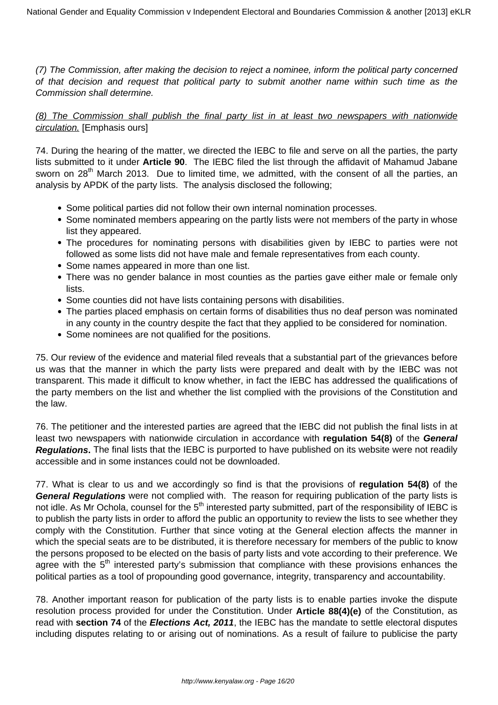(7) The Commission, after making the decision to reject a nominee, inform the political party concerned of that decision and request that political party to submit another name within such time as the Commission shall determine.

(8) The Commission shall publish the final party list in at least two newspapers with nationwide circulation. [Emphasis ours]

74. During the hearing of the matter, we directed the IEBC to file and serve on all the parties, the party lists submitted to it under **Article 90**. The IEBC filed the list through the affidavit of Mahamud Jabane sworn on 28<sup>th</sup> March 2013. Due to limited time, we admitted, with the consent of all the parties, an analysis by APDK of the party lists. The analysis disclosed the following;

- Some political parties did not follow their own internal nomination processes.
- Some nominated members appearing on the partly lists were not members of the party in whose list they appeared.
- The procedures for nominating persons with disabilities given by IEBC to parties were not followed as some lists did not have male and female representatives from each county.
- Some names appeared in more than one list.
- There was no gender balance in most counties as the parties gave either male or female only lists.
- Some counties did not have lists containing persons with disabilities.
- The parties placed emphasis on certain forms of disabilities thus no deaf person was nominated in any county in the country despite the fact that they applied to be considered for nomination.
- Some nominees are not qualified for the positions.

75. Our review of the evidence and material filed reveals that a substantial part of the grievances before us was that the manner in which the party lists were prepared and dealt with by the IEBC was not transparent. This made it difficult to know whether, in fact the IEBC has addressed the qualifications of the party members on the list and whether the list complied with the provisions of the Constitution and the law.

76. The petitioner and the interested parties are agreed that the IEBC did not publish the final lists in at least two newspapers with nationwide circulation in accordance with **regulation 54(8)** of the **General Regulations.** The final lists that the IEBC is purported to have published on its website were not readily accessible and in some instances could not be downloaded.

77. What is clear to us and we accordingly so find is that the provisions of **regulation 54(8)** of the **General Regulations** were not complied with. The reason for requiring publication of the party lists is not idle. As Mr Ochola, counsel for the 5<sup>th</sup> interested party submitted, part of the responsibility of IEBC is to publish the party lists in order to afford the public an opportunity to review the lists to see whether they comply with the Constitution. Further that since voting at the General election affects the manner in which the special seats are to be distributed, it is therefore necessary for members of the public to know the persons proposed to be elected on the basis of party lists and vote according to their preference. We agree with the  $5<sup>th</sup>$  interested party's submission that compliance with these provisions enhances the political parties as a tool of propounding good governance, integrity, transparency and accountability.

78. Another important reason for publication of the party lists is to enable parties invoke the dispute resolution process provided for under the Constitution. Under **Article 88(4)(e)** of the Constitution, as read with **section 74** of the **Elections Act, 2011**, the IEBC has the mandate to settle electoral disputes including disputes relating to or arising out of nominations. As a result of failure to publicise the party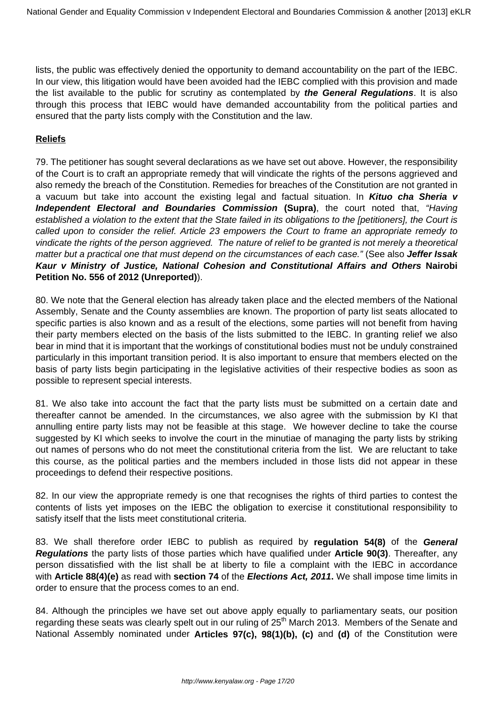lists, the public was effectively denied the opportunity to demand accountability on the part of the IEBC. In our view, this litigation would have been avoided had the IEBC complied with this provision and made the list available to the public for scrutiny as contemplated by **the General Regulations**. It is also through this process that IEBC would have demanded accountability from the political parties and ensured that the party lists comply with the Constitution and the law.

### **Reliefs**

79. The petitioner has sought several declarations as we have set out above. However, the responsibility of the Court is to craft an appropriate remedy that will vindicate the rights of the persons aggrieved and also remedy the breach of the Constitution. Remedies for breaches of the Constitution are not granted in a vacuum but take into account the existing legal and factual situation. In **Kituo cha Sheria v Independent Electoral and Boundaries Commission (Supra)**, the court noted that, "Having established a violation to the extent that the State failed in its obligations to the [petitioners], the Court is called upon to consider the relief. Article 23 empowers the Court to frame an appropriate remedy to vindicate the rights of the person aggrieved. The nature of relief to be granted is not merely a theoretical matter but a practical one that must depend on the circumstances of each case." (See also **Jeffer Issak Kaur v Ministry of Justice, National Cohesion and Constitutional Affairs and Others Nairobi Petition No. 556 of 2012 (Unreported)**).

80. We note that the General election has already taken place and the elected members of the National Assembly, Senate and the County assemblies are known. The proportion of party list seats allocated to specific parties is also known and as a result of the elections, some parties will not benefit from having their party members elected on the basis of the lists submitted to the IEBC. In granting relief we also bear in mind that it is important that the workings of constitutional bodies must not be unduly constrained particularly in this important transition period. It is also important to ensure that members elected on the basis of party lists begin participating in the legislative activities of their respective bodies as soon as possible to represent special interests.

81. We also take into account the fact that the party lists must be submitted on a certain date and thereafter cannot be amended. In the circumstances, we also agree with the submission by KI that annulling entire party lists may not be feasible at this stage. We however decline to take the course suggested by KI which seeks to involve the court in the minutiae of managing the party lists by striking out names of persons who do not meet the constitutional criteria from the list. We are reluctant to take this course, as the political parties and the members included in those lists did not appear in these proceedings to defend their respective positions.

82. In our view the appropriate remedy is one that recognises the rights of third parties to contest the contents of lists yet imposes on the IEBC the obligation to exercise it constitutional responsibility to satisfy itself that the lists meet constitutional criteria.

83. We shall therefore order IEBC to publish as required by **regulation 54(8)** of the **General Regulations** the party lists of those parties which have qualified under **Article 90(3)**. Thereafter, any person dissatisfied with the list shall be at liberty to file a complaint with the IEBC in accordance with **Article 88(4)(e)** as read with **section 74** of the **Elections Act, 2011.** We shall impose time limits in order to ensure that the process comes to an end.

84. Although the principles we have set out above apply equally to parliamentary seats, our position regarding these seats was clearly spelt out in our ruling of 25<sup>th</sup> March 2013. Members of the Senate and National Assembly nominated under **Articles 97(c), 98(1)(b), (c)** and **(d)** of the Constitution were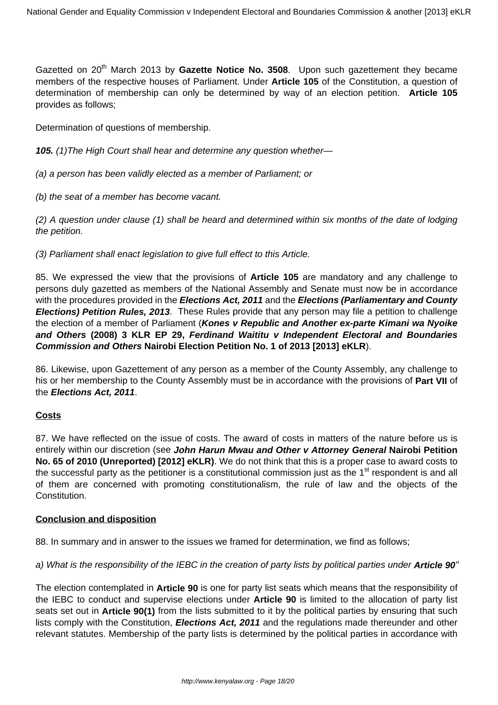Gazetted on 20<sup>th</sup> March 2013 by Gazette Notice No. 3508. Upon such gazettement they became members of the respective houses of Parliament. Under **Article 105** of the Constitution, a question of determination of membership can only be determined by way of an election petition. **Article 105** provides as follows;

Determination of questions of membership.

**105.** (1)The High Court shall hear and determine any question whether—

(a) a person has been validly elected as a member of Parliament; or

(b) the seat of a member has become vacant.

(2) A question under clause (1) shall be heard and determined within six months of the date of lodging the petition.

(3) Parliament shall enact legislation to give full effect to this Article.

85. We expressed the view that the provisions of **Article 105** are mandatory and any challenge to persons duly gazetted as members of the National Assembly and Senate must now be in accordance with the procedures provided in the **Elections Act, 2011** and the **Elections (Parliamentary and County Elections) Petition Rules, 2013**. These Rules provide that any person may file a petition to challenge the election of a member of Parliament (**Kones v Republic and Another ex-parte Kimani wa Nyoike and Others (2008) 3 KLR EP 29, Ferdinand Waititu v Independent Electoral and Boundaries Commission and Others Nairobi Election Petition No. 1 of 2013 [2013] eKLR**).

86. Likewise, upon Gazettement of any person as a member of the County Assembly, any challenge to his or her membership to the County Assembly must be in accordance with the provisions of **Part VII** of the **Elections Act, 2011**.

#### **Costs**

87. We have reflected on the issue of costs. The award of costs in matters of the nature before us is entirely within our discretion (see **John Harun Mwau and Other v Attorney General Nairobi Petition No. 65 of 2010 (Unreported) [2012] eKLR)**. We do not think that this is a proper case to award costs to the successful party as the petitioner is a constitutional commission just as the 1<sup>st</sup> respondent is and all of them are concerned with promoting constitutionalism, the rule of law and the objects of the Constitution.

#### **Conclusion and disposition**

88. In summary and in answer to the issues we framed for determination, we find as follows;

#### a) What is the responsibility of the IEBC in the creation of party lists by political parties under **Article 90**"

The election contemplated in **Article 90** is one for party list seats which means that the responsibility of the IEBC to conduct and supervise elections under **Article 90** is limited to the allocation of party list seats set out in **Article 90(1)** from the lists submitted to it by the political parties by ensuring that such lists comply with the Constitution, **Elections Act, 2011** and the regulations made thereunder and other relevant statutes. Membership of the party lists is determined by the political parties in accordance with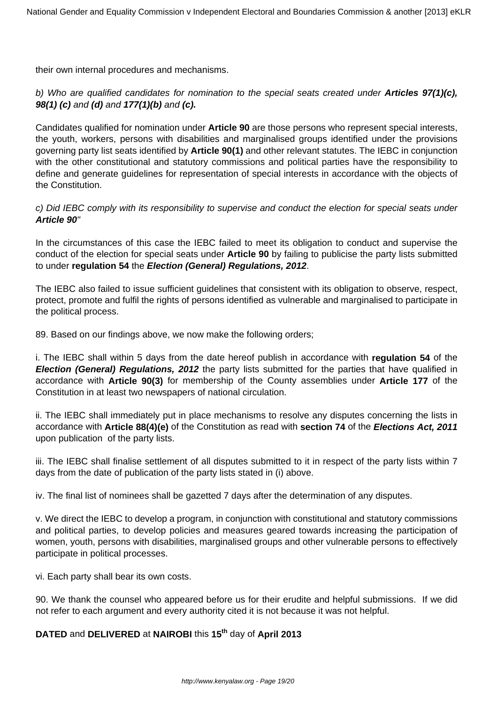their own internal procedures and mechanisms.

### b) Who are qualified candidates for nomination to the special seats created under **Articles 97(1)(c), 98(1) (c)** and **(d)** and **177(1)(b)** and **(c).**

Candidates qualified for nomination under **Article 90** are those persons who represent special interests, the youth, workers, persons with disabilities and marginalised groups identified under the provisions governing party list seats identified by **Article 90(1)** and other relevant statutes. The IEBC in conjunction with the other constitutional and statutory commissions and political parties have the responsibility to define and generate guidelines for representation of special interests in accordance with the objects of the Constitution.

### c) Did IEBC comply with its responsibility to supervise and conduct the election for special seats under **Article 90**"

In the circumstances of this case the IEBC failed to meet its obligation to conduct and supervise the conduct of the election for special seats under **Article 90** by failing to publicise the party lists submitted to under **regulation 54** the **Election (General) Regulations, 2012**.

The IEBC also failed to issue sufficient guidelines that consistent with its obligation to observe, respect, protect, promote and fulfil the rights of persons identified as vulnerable and marginalised to participate in the political process.

89. Based on our findings above, we now make the following orders;

i. The IEBC shall within 5 days from the date hereof publish in accordance with **regulation 54** of the **Election (General) Regulations, 2012** the party lists submitted for the parties that have qualified in accordance with **Article 90(3)** for membership of the County assemblies under **Article 177** of the Constitution in at least two newspapers of national circulation.

ii. The IEBC shall immediately put in place mechanisms to resolve any disputes concerning the lists in accordance with **Article 88(4)(e)** of the Constitution as read with **section 74** of the **Elections Act, 2011** upon publication of the party lists.

iii. The IEBC shall finalise settlement of all disputes submitted to it in respect of the party lists within 7 days from the date of publication of the party lists stated in (i) above.

iv. The final list of nominees shall be gazetted 7 days after the determination of any disputes.

v. We direct the IEBC to develop a program, in conjunction with constitutional and statutory commissions and political parties, to develop policies and measures geared towards increasing the participation of women, youth, persons with disabilities, marginalised groups and other vulnerable persons to effectively participate in political processes.

vi. Each party shall bear its own costs.

90. We thank the counsel who appeared before us for their erudite and helpful submissions. If we did not refer to each argument and every authority cited it is not because it was not helpful.

### **DATED** and **DELIVERED** at **NAIROBI** this **15th** day of **April 2013**